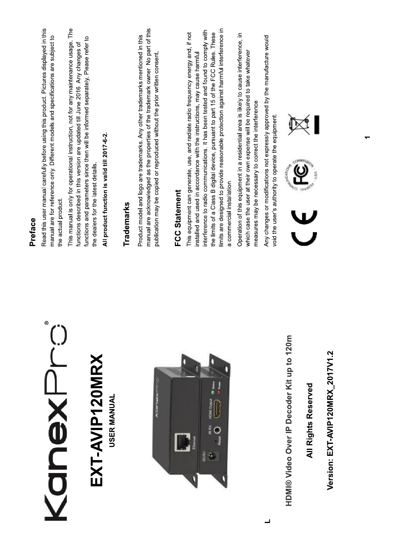|                                            | Preface                                                                                                                                                                                                                                                                                                                                                                                                                                                         |
|--------------------------------------------|-----------------------------------------------------------------------------------------------------------------------------------------------------------------------------------------------------------------------------------------------------------------------------------------------------------------------------------------------------------------------------------------------------------------------------------------------------------------|
| ⊜<br><b>NSVEN</b>                          | Read this user manual carefully before using this product. Pictures displayed in this<br>manual are for reference only. Different models and specifications are subject to<br>the actual product.                                                                                                                                                                                                                                                               |
| EXT-AVIP120MRX                             | This manual is only for operational instruction, not for any maintenance usage. The<br>functions and parameters since then will be informed separately. Please refer to<br>functions described in this version are updated till June 2016. Any changes of<br>the dealers for the latest details.                                                                                                                                                                |
| <b>USER MANUAL</b>                         | All product function is valid till 2017-6-2.                                                                                                                                                                                                                                                                                                                                                                                                                    |
|                                            | Trademarks                                                                                                                                                                                                                                                                                                                                                                                                                                                      |
|                                            | manual are acknowledged as the properties of the trademark owner. No part of this<br>Product model and logo are trademarks. Any other trademarks mentioned in this<br>publication may be copied or reproduced without the prior written consent.                                                                                                                                                                                                                |
|                                            | <b>FCC Statement</b>                                                                                                                                                                                                                                                                                                                                                                                                                                            |
| HDMI Output<br>IR RX<br>Ō<br>DC/51         | limits are designed to provide reasonable protection against harmful interference in<br>interference to radio communications. It has been tested and found to comply with<br>the limits of a Class B digital device, pursuant to part 15 of the FCC Rules. These<br>This equipment can generate, use, and radiate radio frequency energy and, if not<br>installed and used in accordance with the instructions, may cause harmful<br>a commercial installation. |
|                                            | Operation of this equipment in a residential area is likely to cause interference, in<br>which case the user at their own expense will be required to take whatever<br>measures may be necessary to correct the interference                                                                                                                                                                                                                                    |
|                                            | Any changes or modifications not expressly approved by the manufacture would<br>void the user's authority to operate the equipment.                                                                                                                                                                                                                                                                                                                             |
| HDMI® Video Over IP Decoder Kit up to 120m | Rouwinered C                                                                                                                                                                                                                                                                                                                                                                                                                                                    |
| <b>All Rights Reserved</b>                 | USA <sup>.</sup><br>TVUTO                                                                                                                                                                                                                                                                                                                                                                                                                                       |
| Version: EXT-AVIP120MRX 2017V1.2           |                                                                                                                                                                                                                                                                                                                                                                                                                                                                 |

 $\Box$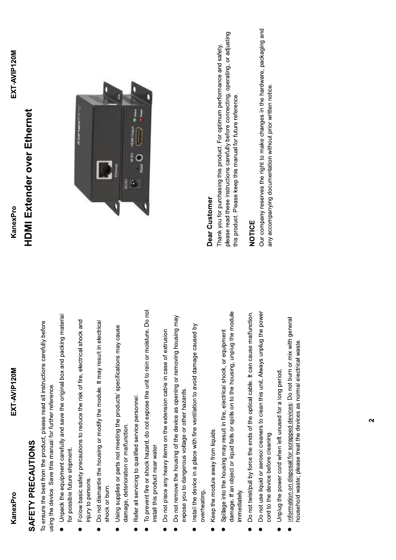## SAFETY PRECAUTIONS

To ensure the best from the product, please read all instructions carefully before using the device. Save this manual for further reference.

- Unpack the equipment carefully and save the original box and packing material for possible future shipment.
- Follow basic safety precautions to reduce the risk of fire, electrical shock and injury to persons.
- Do not dismantle the housing or modify the module. It may result in electrical shock or burn.
- Using supplies or parts not meeting the products' specifications may cause damage, deterioration or malfunction.  $\bullet$
- Refer all servicing to qualified service personnel.
- To prevent fire or shock hazard, do not expose the unit to rain or moisture. Do not install this product near water.  $\bullet$
- Do not place any heavy items on the extension cable in case of extrusion.
- Do not remove the housing of the device as opening or removing housing may expose you to dangerous voltage or other hazards.  $\bullet$
- Install the device in a place with fine ventilation to avoid damage caused by overheating.  $\bullet$
- Keep the module away from liquids.
- damage. If an object or liquid falls or spills on to the housing, unplug the module Spillage into the housing may result in fire, electrical shock, or equipment immediately.  $\bullet$
- Do not twist/pull by force the ends of the optical cable. It can cause malfunction.
- Do not use liquid or aerosol cleaners to clean this unit. Always unplug the power cord to the device before cleaning.
- Unplug the power cord when left unused for a long period.
- Information on disposal for scrapped devices: Do not burn or mix with general household waste; please treat the devices as normal electrical waste.

## **HDMI Extender over Ethernet** KanexPro



## Dear Customer

please read these instructions carefully before connecting, operating, or adjusting Thank you for purchasing this product. For optimum performance and safety, this product. Please keep this manual for future reference.

## NOTICE

Our company reserves the right to make changes in the hardware, packaging and any accompanying documentation without prior written notice.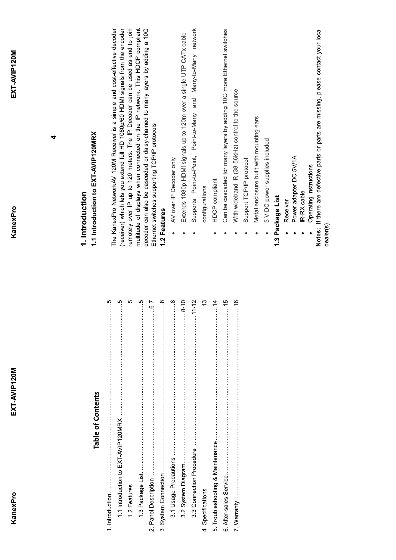| KanexPro                                               | EXT-AVIP120M                                  | EXT-AVIP120M<br>KanexPro                                                                                                                                        |
|--------------------------------------------------------|-----------------------------------------------|-----------------------------------------------------------------------------------------------------------------------------------------------------------------|
|                                                        |                                               | 4                                                                                                                                                               |
|                                                        | <b>Table of Contents</b>                      | 1.1 Introduction to EXT-AVIP120MRX<br>1. Introduction                                                                                                           |
| 1.1 Introduction to EXT-AVIP120MRX.<br>1. Introduction | ഥ<br>ن<br>:                                   | The KanexPro NetworkAV 120M Receiver is a simple and cost-effective decoder                                                                                     |
| 1.2 Features                                           | ഥ                                             | remotely over IP up to 120 meters. The IP Decoder can be used as end to join<br>(receiver) which lets you extend full HD 1080p/60 HDMI signals from the encoder |
| 1.3 Package List                                       | $c_{\cdots}$                                  | multitude of displays when connected on the IP network. This HDCP compliant                                                                                     |
|                                                        | $-9$                                          | decoder can also be cascaded or daisy-chained to many layers by adding a 10G<br>Ethernet switches supporting TCP/IP protocols                                   |
| 3. System Connection                                   | $\begin{array}{c} 8 \\ \vdots \\ \end{array}$ | 1.2 Features                                                                                                                                                    |
| 3.1 Usage Precautions                                  | $8 \cdot$                                     | AV over IP Decoder only<br>$\bullet$                                                                                                                            |
| 3.2 System Diagram                                     | $-8 - 10$                                     | Extends 1080p HDMI signals up to 120m over a single UTP CATx cable                                                                                              |
| 3.3 Connection Procedure                               | $-11 - 12$                                    | network<br>Supports Point-to-Point, Point-to-Many and Many-to-Many                                                                                              |
| 4. Specifications                                      | $\cdots$ 13                                   | configurations                                                                                                                                                  |
| 5. Troubleshooting & Maintenance                       | $\cdots$ 14                                   | HDCP compliant                                                                                                                                                  |
|                                                        | 15                                            | Can be cascaded for many layers by adding 10G more Ethernet switches                                                                                            |
| 7. Warranty                                            | <sup>16</sup>                                 | With wideband IR (38-56kHz) control to the source                                                                                                               |
|                                                        |                                               | Support TCP/IP protocol                                                                                                                                         |
|                                                        |                                               | Metal enclosure built with mounting ears                                                                                                                        |
|                                                        |                                               | 5 V DC power supplies included                                                                                                                                  |
|                                                        |                                               | 1.3 Package List                                                                                                                                                |
|                                                        |                                               | Receiver                                                                                                                                                        |
|                                                        |                                               | Power adapter DC 5V/1A                                                                                                                                          |
|                                                        |                                               | IR-RX cable                                                                                                                                                     |
|                                                        |                                               | If there are defective parts or parts are missing, please contact your local<br>Operating Instructions<br>Notes:                                                |
|                                                        |                                               | dealer(s)                                                                                                                                                       |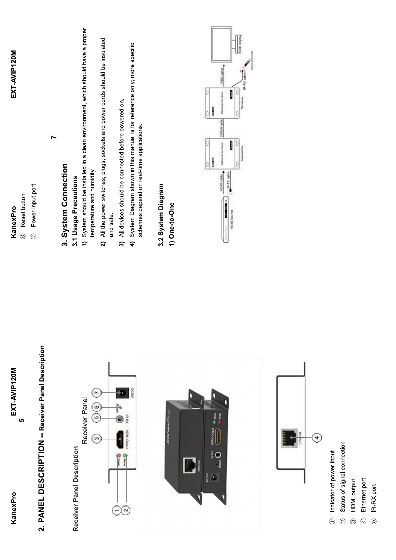| EXT-AVIP120M<br>$\mathfrak{g}$<br>KanexPro                                                             | Reset button<br>KanexPro<br>$^{\circledR}$                                                                                                                                                                              | EXT-AVIP120M                                                                  |
|--------------------------------------------------------------------------------------------------------|-------------------------------------------------------------------------------------------------------------------------------------------------------------------------------------------------------------------------|-------------------------------------------------------------------------------|
| 2. PANEL DESCRIPTION - Receiver Panel Description                                                      | $\blacktriangleright$<br>Power input port<br>$\odot$                                                                                                                                                                    |                                                                               |
| Receiver Panel<br>Receiver Panel Description                                                           | 3. System Connection<br>3.1 Usage Precautions<br>$\hat{r}$                                                                                                                                                              | System should be installed in a clean environment, which should have a proper |
| $\overline{r}$<br>$\binom{6}{5}$<br>$\omega$                                                           | All the power switches, plugs, sockets and power cords should be insulated<br>temperature and humidity.<br>and safe.<br>$\widehat{\mathbf{z}}$                                                                          |                                                                               |
| N3/30<br>IR RX<br>$\circledcirc$<br><b>MIO</b><br><b>O</b> Pare<br><b>Same</b><br>$\odot\!\!\!\!\circ$ | System Diagram shown in this manual is for reference only; more specific<br>All devices should be connected before powered on.<br>schemes depend on real-time applications.<br>$\widehat{\mathcal{E}}$<br>$\widehat{+}$ |                                                                               |
|                                                                                                        | 3.2 System Diagram<br>1) One-to-One                                                                                                                                                                                     |                                                                               |
| H<br>HOM OVER<br>$\check{\check{\mathsf{g}}}$ O<br>$\frac{5}{9}$                                       | 3<br>$e^{iR \cdot TX}$ cab<br>HDMI cal<br>HDMI Sou                                                                                                                                                                      | É<br>I                                                                        |
|                                                                                                        |                                                                                                                                                                                                                         |                                                                               |
|                                                                                                        |                                                                                                                                                                                                                         |                                                                               |
| $\overline{\mathbf{r}}$                                                                                |                                                                                                                                                                                                                         |                                                                               |
| Status of signal connection<br>Indicator of power input<br>$\bigodot$<br>$\odot$                       |                                                                                                                                                                                                                         |                                                                               |
| <b>HDMI</b> output<br>$\circledcirc$                                                                   |                                                                                                                                                                                                                         |                                                                               |
| Ethernet port<br>$\bigoplus$                                                                           |                                                                                                                                                                                                                         |                                                                               |
| IR-RX port<br>$\circledS$                                                                              |                                                                                                                                                                                                                         |                                                                               |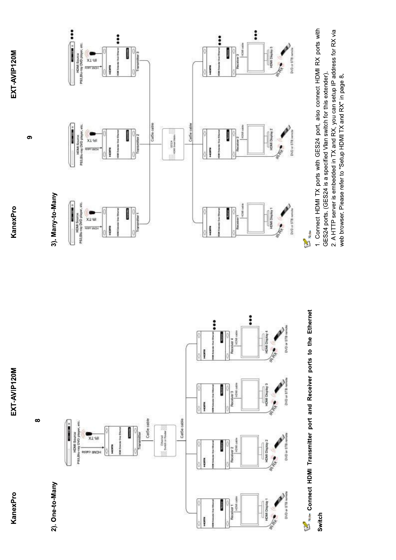

 $\infty$ 

൭



1. Connect HDMI TX ports with GES24 port, also connect HDMI RX ports with 2. A HTTP server is embedded in TX and RX, you can setup IP address for RX via GES24 ports. (GES24 is a specified Vlan switch for this extender).

web browser. Please refer to "Setup HDMI TX and RX" in page 8.

**Connect HDMI Transmitter port and Receiver ports to the Ethernet** Switch







E<sup>n</sup>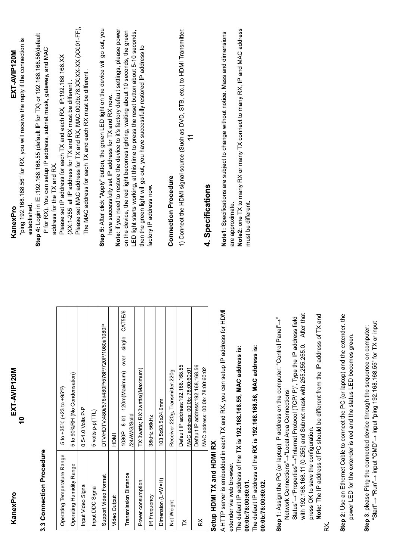| KanexPro                                      | EXT-AVIP120M                                                                                                                                             | EXT-AVIP120M<br>KanexPro                                                                                                                                                               |
|-----------------------------------------------|----------------------------------------------------------------------------------------------------------------------------------------------------------|----------------------------------------------------------------------------------------------------------------------------------------------------------------------------------------|
|                                               | $\overline{\phantom{0}}$                                                                                                                                 | ping 192.168.168.56" for RX, you will receive the reply if the connection is<br>established.                                                                                           |
| 3.3 Connection Procedure                      |                                                                                                                                                          | Step 4: Login in IE :192.168.168.55 (default IP for TX) or 192.168.168.56(default<br>IP for RX), You can setup IP address, subnet mask, gateway, and MAC<br>address for the TX and RX. |
| Operating Temperature Range                   | $-5$ to $+35^{\circ}$ C ( $+23$ to $+95^{\circ}$ F)                                                                                                      | Please set IP address for each TX and each RX, IP:192.168.168.XX                                                                                                                       |
| Operating Humidity Range                      | 5 to 90%RH (No Condensation)                                                                                                                             | (XX:1-255. all IP address for TX and RX must be different                                                                                                                              |
| Input Video Signal                            | $0.5 - 1.0$ Volts P-P                                                                                                                                    | Please set MAC address for TX and RX, MAC:00:0b:78:XX:XX-XX (XX:01-FF),<br>The MAC address for each TX and each RX must be different                                                   |
| Input DDC Signal                              | 5 volts p-p(TTL)                                                                                                                                         |                                                                                                                                                                                        |
| Support Video Format                          | DTV/HDTV:480i/576i/480P/576P/720P/1080i/1080P                                                                                                            | Step 5: After click "Apply" button, the green LED light on the device will go out, you                                                                                                 |
| Video Output                                  | HDMI                                                                                                                                                     | Note: if you need to restore the device to it's factory default settings, please power<br>have successfully set IP address for TX and RX now.                                          |
| <b>Transmission Distance</b>                  | CAT5E/6<br>single<br>over<br>120m(Maximum)<br>/24AWG/Solid<br>$8-5$<br>1080P                                                                             | LED light starts working, at this time to press the reset button about 5-10 seconds,<br>on the device, the red light becomes lighting, waiting about 10 seconds, the green             |
| Power consumption                             | TX:3watts; RX:3watts((Maximum)                                                                                                                           | then the green light will go out, you have successfully restored IP address to                                                                                                         |
| IR Frequency                                  | 38kHz-56kHz                                                                                                                                              | factory IP address now.                                                                                                                                                                |
| Dimension (LxWxH)                             | 103.5x93.5x24.6mm                                                                                                                                        |                                                                                                                                                                                        |
| Net Weight                                    | Receiver:220g, Transmitter:220g                                                                                                                          | <b>Connection Procedure</b>                                                                                                                                                            |
| ř                                             | Default IP address: 192.168.168.55                                                                                                                       | 1) Connect the HDMI signal source (Such as DVD, STB, etc.) to HDMI Transmitter.                                                                                                        |
|                                               | MAC address: 00:0b: 78:00:60:01                                                                                                                          |                                                                                                                                                                                        |
| $\approx$                                     | Default IP address: 192.168.168.56<br>MAC address: 00:0b: 78:00:60:02                                                                                    |                                                                                                                                                                                        |
| Setup HDMI TX and HDMI RX                     |                                                                                                                                                          | 4. Specifications                                                                                                                                                                      |
|                                               | ₹<br>A HTTP server is embedded in each TX and RX. you can setup IP address for HD                                                                        | Note1: Specifications are subject to change without notice. Mass and dimensions                                                                                                        |
| extender via web browser                      |                                                                                                                                                          | are approximate.                                                                                                                                                                       |
| 00:00:78:00:60:01                             | The default IP address of the TX is 192.168.168.55, MAC address is:                                                                                      | Note2: one TX to many RX or many TX connect to many RX, IP and MAC address                                                                                                             |
| 00:00:78:00:60:02                             | The default IP address of the RX is 192.168.168.56, MAC address is:                                                                                      | must be different.                                                                                                                                                                     |
|                                               |                                                                                                                                                          |                                                                                                                                                                                        |
|                                               | Step 1: Assign the PC (or laptop) IP address on the computer: "Control Panel"-"                                                                          |                                                                                                                                                                                        |
| Network Connections"->"Local Area Connections | Status"-+"Properties"--+"Internet Protocol (TCP/IP)", Type the IP address field                                                                          |                                                                                                                                                                                        |
|                                               | After that<br>with 192.168.168.11 (0-255) and Subnet mask with 255.255.255.0.                                                                            |                                                                                                                                                                                        |
| press OK to save the configuration.           |                                                                                                                                                          |                                                                                                                                                                                        |
|                                               | Note: The IP address of PC should be different from the IP address of TX and                                                                             |                                                                                                                                                                                        |
| Κ,                                            |                                                                                                                                                          |                                                                                                                                                                                        |
|                                               | Step 2: Use an Ethernet Cable to connect the PC (or laptop) and the extender. the<br>power LED for the extender is red and the status LED becomes green. |                                                                                                                                                                                        |

**Step 3:** please Ping the connected device through the sequence on computer:<br>"Start"→ "Run"→ input "CMD"→ input "ping 192.168.168.55" for TX or input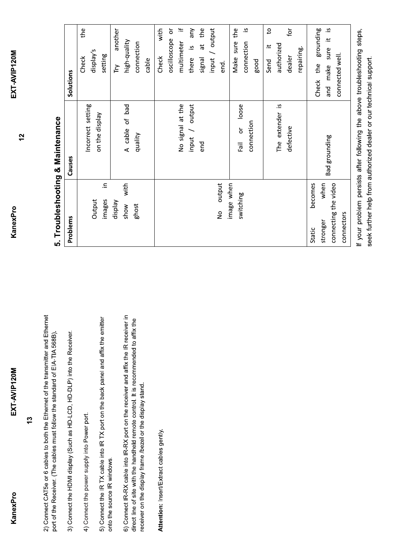KanexPro

KanexPro

EXT-AVIP120M

 $12$ 

 $\frac{3}{2}$ 

2) Connect CAT5e or 6 cables to both the Ethernet of the transmitter and Ethernet port of the Receiver. (The cables must follow the standard of EIA-TIA 568B).

3) Connect the HDMI display (Such as HD-LCD, HD-DLP) into the Receiver.

4) Connect the power supply into Power port.

5) Connect the IR TX cable into IR TX port on the back panel and affix the emitter onto the source IR windows. 6) Connect IR-RX cable into IR-RX port on the receiver and affix the IR receiver in direct line of site with the handheld remote control. It is recommended to affix the receiver on the display frame /bezel or the display stand.

Attention: Insert/Extract cables gently.

| I      |
|--------|
| C      |
| ı<br>I |
|        |
| l      |
| I<br>ı |

| Problems                                                                    | Causes                                                                                                                                   | Solutions                                                                                                                                                                                                                                                                               |
|-----------------------------------------------------------------------------|------------------------------------------------------------------------------------------------------------------------------------------|-----------------------------------------------------------------------------------------------------------------------------------------------------------------------------------------------------------------------------------------------------------------------------------------|
| 크.<br>Output<br>images                                                      | Incorrect setting<br>on the display                                                                                                      | the<br>display's<br>setting<br><b>Check</b>                                                                                                                                                                                                                                             |
| with<br>Veldsip<br>ghost<br>show                                            | A cable of bad<br>quality                                                                                                                | another<br>high-quality<br>connection<br>cable<br>ΓŅ                                                                                                                                                                                                                                    |
| output<br>image when<br>switching<br>$\frac{1}{2}$                          | No signal at the<br>input / output<br>The extender is<br>loose<br>connection<br>defective<br>ŏ<br>end<br>6<br>$\overline{\overline{16}}$ | $\pm$<br>input / output<br>$\mathfrak{b}$<br>with<br>oscilloscope or<br>at the<br>the<br>$\frac{1}{2}$<br>$\mathbf{S}$<br>any<br>Make sure<br>multimeter<br>connection<br>authorized<br>$\pm$<br><u>ي</u> .<br>repairing.<br>dealer<br>Check<br>there<br>signal<br>good<br>Send<br>end. |
| when<br>becomes<br>connecting the video<br>connectors<br>stronger<br>Static | Bad grounding                                                                                                                            | $\tilde{a}$ .<br>grounding<br>ب.<br>-<br>and make sure<br>connected well.<br>Check the                                                                                                                                                                                                  |

If your problem persists after following the above troubleshooting steps, seek further help from authorized dealer or our technical support.

EXT-AVIP120M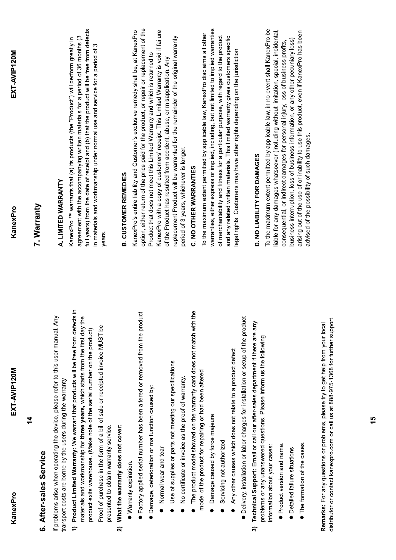| KanexPro                                                    | EXT-AVIP120M                                                                                                                                                                                                                                    | KanexPro                                                                                                                                                                                                                                                        | EXT-AVIP120M |
|-------------------------------------------------------------|-------------------------------------------------------------------------------------------------------------------------------------------------------------------------------------------------------------------------------------------------|-----------------------------------------------------------------------------------------------------------------------------------------------------------------------------------------------------------------------------------------------------------------|--------------|
|                                                             | $\frac{4}{5}$                                                                                                                                                                                                                                   |                                                                                                                                                                                                                                                                 |              |
| 6. After-sales Service                                      |                                                                                                                                                                                                                                                 | 7. Warranty                                                                                                                                                                                                                                                     |              |
| transport costs are borne by the users during the warranty. | If problems arise when operating the device, please refer to this user manual. Any                                                                                                                                                              | A. LIMITED WARRANTY                                                                                                                                                                                                                                             |              |
| $\hat{t}$                                                   | Product Limited Warranty: We warrant that products will be free from defects in<br>eq<br>materials and workmanship for three years, which starts from the first day<br>product exits warehouse. (Make note of the serial number on the product) | full years) from the date of receipt and (b) that the product will be free from defects<br>agreement with the accompanying written materials for a period of 36 months (3<br>KanexPro TM warrants that (a) its products (the "Product") will perform greatly in |              |
| presented to obtain warranty service.                       | Proof of purchase in the form of a bill of sale or receipted invoice MUST be                                                                                                                                                                    | in materials and workmanship under normal use and service for a period of<br>years.                                                                                                                                                                             |              |
| What the warranty does not cover:<br>ล                      |                                                                                                                                                                                                                                                 | <b>B. CUSTOMER REMEDIES</b>                                                                                                                                                                                                                                     |              |
| <b>Warranty expiration.</b>                                 |                                                                                                                                                                                                                                                 |                                                                                                                                                                                                                                                                 |              |
|                                                             | • Factory applied serial number has been altered or removed from the product.                                                                                                                                                                   | option, either return of the price paid for the product, or repair or replacement of the<br>KanexPro's entire liability and Customer's exclusive remedy shall be, at KanexPro                                                                                   |              |
| Damage, deterioration or malfunction caused by:             |                                                                                                                                                                                                                                                 | Product that does not meet this Limited Warranty and which is returned to                                                                                                                                                                                       |              |
| Normal wear and tear                                        |                                                                                                                                                                                                                                                 | KanexPro with a copy of customers' receipt. This Limited Warranty is void if failure                                                                                                                                                                            |              |
|                                                             | Use of supplies or parts not meeting our specifications                                                                                                                                                                                         | replacement Product will be warranted for the remainder of the original warranty<br>of the Product has resulted from accident, abuse, or misapplication. Any                                                                                                    |              |
|                                                             | No certificate or invoice as the proof of warranty                                                                                                                                                                                              | period of 3 years, whichever is longer.                                                                                                                                                                                                                         |              |
|                                                             | • The product model showed on the warranty card does not match with the                                                                                                                                                                         | C. NO OTHER WARRANTIES                                                                                                                                                                                                                                          |              |
|                                                             | model of the product for repairing or had been altered.                                                                                                                                                                                         | To the maximum extent permitted by applicable law, KanexPro disclaims all other                                                                                                                                                                                 |              |
| Damage caused by force majeure.                             |                                                                                                                                                                                                                                                 | warranties, either express or implied, including, but not limited to implied warranties                                                                                                                                                                         |              |
| Servicing not authorized                                    |                                                                                                                                                                                                                                                 | of merchantability and fitness for a particular purpose, with regard to the product<br>and any related written materials. This limited warranty gives customers specific                                                                                        |              |
|                                                             | Any other causes which does not relate to a product defect                                                                                                                                                                                      | legal rights. Customers may have other rights depending on the jurisdiction.                                                                                                                                                                                    |              |
|                                                             | Delivery, installation or labor charges for installation or setup of the product                                                                                                                                                                |                                                                                                                                                                                                                                                                 |              |
| ลิ                                                          | Technical Support: Email or call our after-sales department if there are any<br>problems or any unanswered questions. Please inform us the following                                                                                            | D. NO LIABILITY FOR DAMAGES                                                                                                                                                                                                                                     |              |
| information about your cases:                               |                                                                                                                                                                                                                                                 | To the maximum extent permitted by applicable law, in no event shall KanexPro be                                                                                                                                                                                |              |
| Product version and name.                                   |                                                                                                                                                                                                                                                 | iable for any damages whatsoever (including without limitation, special, incidental,<br>consequential, or indirect damages for personal injury, loss of business profits,                                                                                       |              |
| Detailed failure situations.                                |                                                                                                                                                                                                                                                 | business interruption, loss of business information, or any other pecuniary loss)                                                                                                                                                                               |              |
| • The formation of the cases.                               |                                                                                                                                                                                                                                                 | arising out of the use of or inability to use this product, even if KanexPro has been<br>advised of the possibility of such damages.                                                                                                                            |              |
|                                                             | distributor or contact kanexpro.com or call us at 888-975-1368 for further support.<br>Remarks: For any questions or problems, please try to get help from your loca                                                                            |                                                                                                                                                                                                                                                                 |              |

EXT-AVIP120M

15